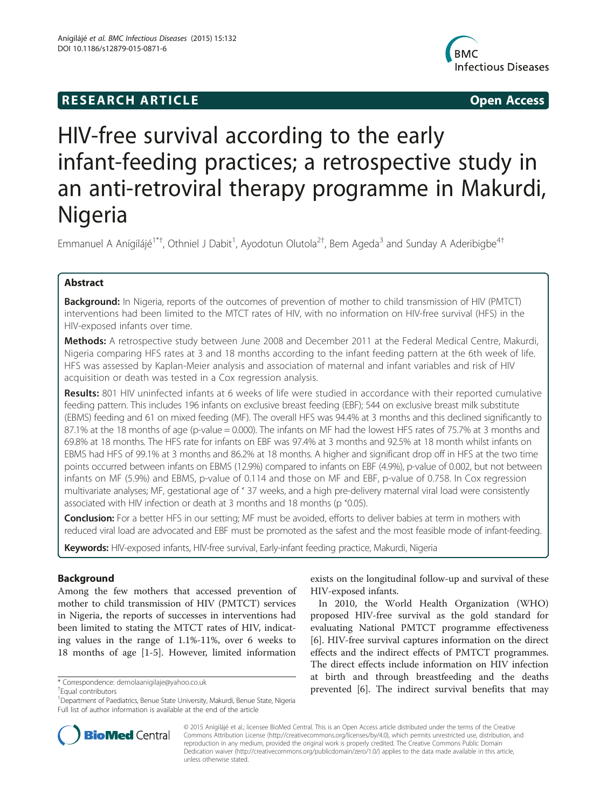# **RESEARCH ARTICLE Example 2014 12:30 The SEAR CHA RTICLE**



# HIV-free survival according to the early infant-feeding practices; a retrospective study in an anti-retroviral therapy programme in Makurdi, Nigeria

Emmanuel A Anígilájé<sup>1\*†</sup>, Othniel J Dabit<sup>1</sup>, Ayodotun Olutola<sup>2†</sup>, Bem Ageda<sup>3</sup> and Sunday A Aderibigbe<sup>4†</sup>

# Abstract

Background: In Nigeria, reports of the outcomes of prevention of mother to child transmission of HIV (PMTCT) interventions had been limited to the MTCT rates of HIV, with no information on HIV-free survival (HFS) in the HIV-exposed infants over time.

**Methods:** A retrospective study between June 2008 and December 2011 at the Federal Medical Centre, Makurdi, Nigeria comparing HFS rates at 3 and 18 months according to the infant feeding pattern at the 6th week of life. HFS was assessed by Kaplan-Meier analysis and association of maternal and infant variables and risk of HIV acquisition or death was tested in a Cox regression analysis.

Results: 801 HIV uninfected infants at 6 weeks of life were studied in accordance with their reported cumulative feeding pattern. This includes 196 infants on exclusive breast feeding (EBF); 544 on exclusive breast milk substitute (EBMS) feeding and 61 on mixed feeding (MF). The overall HFS was 94.4% at 3 months and this declined significantly to 87.1% at the 18 months of age (p-value = 0.000). The infants on MF had the lowest HFS rates of 75.7% at 3 months and 69.8% at 18 months. The HFS rate for infants on EBF was 97.4% at 3 months and 92.5% at 18 month whilst infants on EBMS had HFS of 99.1% at 3 months and 86.2% at 18 months. A higher and significant drop off in HFS at the two time points occurred between infants on EBMS (12.9%) compared to infants on EBF (4.9%), p-value of 0.002, but not between infants on MF (5.9%) and EBMS, p-value of 0.114 and those on MF and EBF, p-value of 0.758. In Cox regression multivariate analyses; MF, gestational age of ˂ 37 weeks, and a high pre-delivery maternal viral load were consistently associated with HIV infection or death at 3 months and 18 months (p ˂0.05).

Conclusion: For a better HFS in our setting; MF must be avoided, efforts to deliver babies at term in mothers with reduced viral load are advocated and EBF must be promoted as the safest and the most feasible mode of infant-feeding.

Keywords: HIV-exposed infants, HIV-free survival, Early-infant feeding practice, Makurdi, Nigeria

## Background

Among the few mothers that accessed prevention of mother to child transmission of HIV (PMTCT) services in Nigeria, the reports of successes in interventions had been limited to stating the MTCT rates of HIV, indicating values in the range of 1.1%-11%, over 6 weeks to 18 months of age [[1-5](#page-11-0)]. However, limited information

<sup>+</sup>Fqual contributors



In 2010, the World Health Organization (WHO) proposed HIV-free survival as the gold standard for evaluating National PMTCT programme effectiveness [[6\]](#page-11-0). HIV-free survival captures information on the direct effects and the indirect effects of PMTCT programmes. The direct effects include information on HIV infection at birth and through breastfeeding and the deaths prevented [\[6](#page-11-0)]. The indirect survival benefits that may \* Correspondence: [demolaanigilaje@yahoo.co.uk](mailto:demolaanigilaje@yahoo.co.uk) †



© 2015 Anígilájé et al.; licensee BioMed Central. This is an Open Access article distributed under the terms of the Creative Commons Attribution License [\(http://creativecommons.org/licenses/by/4.0\)](http://creativecommons.org/licenses/by/4.0), which permits unrestricted use, distribution, and reproduction in any medium, provided the original work is properly credited. The Creative Commons Public Domain Dedication waiver [\(http://creativecommons.org/publicdomain/zero/1.0/](http://creativecommons.org/publicdomain/zero/1.0/)) applies to the data made available in this article, unless otherwise stated.

<sup>&</sup>lt;sup>1</sup> Department of Paediatrics, Benue State University, Makurdi, Benue State, Nigeria Full list of author information is available at the end of the article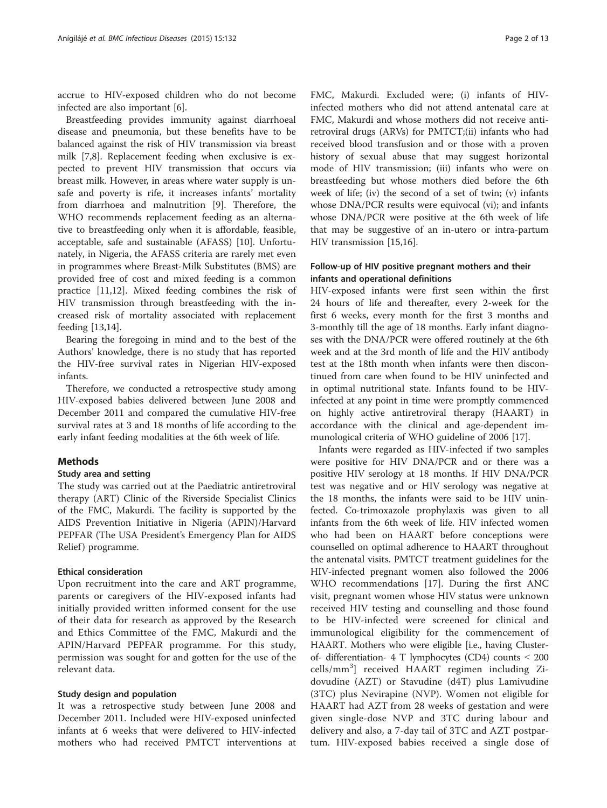accrue to HIV-exposed children who do not become infected are also important [\[6](#page-11-0)].

Breastfeeding provides immunity against diarrhoeal disease and pneumonia, but these benefits have to be balanced against the risk of HIV transmission via breast milk [\[7,8](#page-11-0)]. Replacement feeding when exclusive is expected to prevent HIV transmission that occurs via breast milk. However, in areas where water supply is unsafe and poverty is rife, it increases infants' mortality from diarrhoea and malnutrition [[9\]](#page-11-0). Therefore, the WHO recommends replacement feeding as an alternative to breastfeeding only when it is affordable, feasible, acceptable, safe and sustainable (AFASS) [\[10\]](#page-11-0). Unfortunately, in Nigeria, the AFASS criteria are rarely met even in programmes where Breast-Milk Substitutes (BMS) are provided free of cost and mixed feeding is a common practice [[11,12\]](#page-11-0). Mixed feeding combines the risk of HIV transmission through breastfeeding with the increased risk of mortality associated with replacement feeding [\[13,14](#page-11-0)].

Bearing the foregoing in mind and to the best of the Authors' knowledge, there is no study that has reported the HIV-free survival rates in Nigerian HIV-exposed infants.

Therefore, we conducted a retrospective study among HIV-exposed babies delivered between June 2008 and December 2011 and compared the cumulative HIV-free survival rates at 3 and 18 months of life according to the early infant feeding modalities at the 6th week of life.

#### **Methods**

## Study area and setting

The study was carried out at the Paediatric antiretroviral therapy (ART) Clinic of the Riverside Specialist Clinics of the FMC, Makurdi. The facility is supported by the AIDS Prevention Initiative in Nigeria (APIN)/Harvard PEPFAR (The USA President's Emergency Plan for AIDS Relief) programme.

#### Ethical consideration

Upon recruitment into the care and ART programme, parents or caregivers of the HIV-exposed infants had initially provided written informed consent for the use of their data for research as approved by the Research and Ethics Committee of the FMC, Makurdi and the APIN/Harvard PEPFAR programme. For this study, permission was sought for and gotten for the use of the relevant data.

#### Study design and population

It was a retrospective study between June 2008 and December 2011. Included were HIV-exposed uninfected infants at 6 weeks that were delivered to HIV-infected mothers who had received PMTCT interventions at

FMC, Makurdi. Excluded were; (i) infants of HIVinfected mothers who did not attend antenatal care at FMC, Makurdi and whose mothers did not receive antiretroviral drugs (ARVs) for PMTCT;(ii) infants who had received blood transfusion and or those with a proven history of sexual abuse that may suggest horizontal mode of HIV transmission; (iii) infants who were on breastfeeding but whose mothers died before the 6th week of life; (iv) the second of a set of twin; (v) infants whose DNA/PCR results were equivocal (vi); and infants whose DNA/PCR were positive at the 6th week of life that may be suggestive of an in-utero or intra-partum HIV transmission [\[15,16](#page-12-0)].

### Follow-up of HIV positive pregnant mothers and their infants and operational definitions

HIV-exposed infants were first seen within the first 24 hours of life and thereafter, every 2-week for the first 6 weeks, every month for the first 3 months and 3-monthly till the age of 18 months. Early infant diagnoses with the DNA/PCR were offered routinely at the 6th week and at the 3rd month of life and the HIV antibody test at the 18th month when infants were then discontinued from care when found to be HIV uninfected and in optimal nutritional state. Infants found to be HIVinfected at any point in time were promptly commenced on highly active antiretroviral therapy (HAART) in accordance with the clinical and age-dependent immunological criteria of WHO guideline of 2006 [\[17](#page-12-0)].

Infants were regarded as HIV-infected if two samples were positive for HIV DNA/PCR and or there was a positive HIV serology at 18 months. If HIV DNA/PCR test was negative and or HIV serology was negative at the 18 months, the infants were said to be HIV uninfected. Co-trimoxazole prophylaxis was given to all infants from the 6th week of life. HIV infected women who had been on HAART before conceptions were counselled on optimal adherence to HAART throughout the antenatal visits. PMTCT treatment guidelines for the HIV-infected pregnant women also followed the 2006 WHO recommendations [[17\]](#page-12-0). During the first ANC visit, pregnant women whose HIV status were unknown received HIV testing and counselling and those found to be HIV-infected were screened for clinical and immunological eligibility for the commencement of HAART. Mothers who were eligible [i.e., having Clusterof- differentiation- 4 T lymphocytes (CD4) counts ˂ 200 cells/mm<sup>3</sup> ] received HAART regimen including Zidovudine (AZT) or Stavudine (d4T) plus Lamivudine (3TC) plus Nevirapine (NVP). Women not eligible for HAART had AZT from 28 weeks of gestation and were given single-dose NVP and 3TC during labour and delivery and also, a 7-day tail of 3TC and AZT postpartum. HIV-exposed babies received a single dose of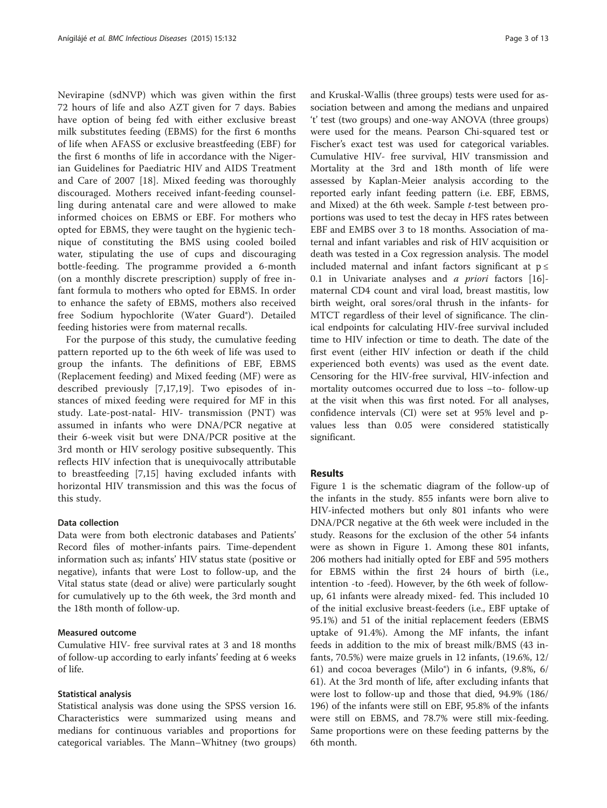Nevirapine (sdNVP) which was given within the first 72 hours of life and also AZT given for 7 days. Babies have option of being fed with either exclusive breast milk substitutes feeding (EBMS) for the first 6 months of life when AFASS or exclusive breastfeeding (EBF) for the first 6 months of life in accordance with the Nigerian Guidelines for Paediatric HIV and AIDS Treatment and Care of 2007 [[18](#page-12-0)]. Mixed feeding was thoroughly discouraged. Mothers received infant-feeding counselling during antenatal care and were allowed to make informed choices on EBMS or EBF. For mothers who opted for EBMS, they were taught on the hygienic technique of constituting the BMS using cooled boiled water, stipulating the use of cups and discouraging bottle-feeding. The programme provided a 6-month (on a monthly discrete prescription) supply of free infant formula to mothers who opted for EBMS. In order to enhance the safety of EBMS, mothers also received free Sodium hypochlorite (Water Guard®). Detailed feeding histories were from maternal recalls.

For the purpose of this study, the cumulative feeding pattern reported up to the 6th week of life was used to group the infants. The definitions of EBF, EBMS (Replacement feeding) and Mixed feeding (MF) were as described previously [\[7](#page-11-0),[17,19\]](#page-12-0). Two episodes of instances of mixed feeding were required for MF in this study. Late-post-natal- HIV- transmission (PNT) was assumed in infants who were DNA/PCR negative at their 6-week visit but were DNA/PCR positive at the 3rd month or HIV serology positive subsequently. This reflects HIV infection that is unequivocally attributable to breastfeeding [[7,](#page-11-0)[15\]](#page-12-0) having excluded infants with horizontal HIV transmission and this was the focus of this study.

## Data collection

Data were from both electronic databases and Patients' Record files of mother-infants pairs. Time-dependent information such as; infants' HIV status state (positive or negative), infants that were Lost to follow-up, and the Vital status state (dead or alive) were particularly sought for cumulatively up to the 6th week, the 3rd month and the 18th month of follow-up.

#### Measured outcome

Cumulative HIV- free survival rates at 3 and 18 months of follow-up according to early infants' feeding at 6 weeks of life.

#### Statistical analysis

Statistical analysis was done using the SPSS version 16. Characteristics were summarized using means and medians for continuous variables and proportions for categorical variables. The Mann–Whitney (two groups)

and Kruskal-Wallis (three groups) tests were used for association between and among the medians and unpaired 't' test (two groups) and one-way ANOVA (three groups) were used for the means. Pearson Chi-squared test or Fischer's exact test was used for categorical variables. Cumulative HIV- free survival, HIV transmission and Mortality at the 3rd and 18th month of life were assessed by Kaplan-Meier analysis according to the reported early infant feeding pattern (i.e. EBF, EBMS, and Mixed) at the 6th week. Sample t-test between proportions was used to test the decay in HFS rates between EBF and EMBS over 3 to 18 months. Association of maternal and infant variables and risk of HIV acquisition or death was tested in a Cox regression analysis. The model included maternal and infant factors significant at  $p \leq$ 0.1 in Univariate analyses and  $\alpha$  priori factors [\[16\]](#page-12-0)maternal CD4 count and viral load, breast mastitis, low birth weight, oral sores/oral thrush in the infants- for MTCT regardless of their level of significance. The clinical endpoints for calculating HIV-free survival included time to HIV infection or time to death. The date of the first event (either HIV infection or death if the child experienced both events) was used as the event date. Censoring for the HIV-free survival, HIV-infection and mortality outcomes occurred due to loss –to- follow-up at the visit when this was first noted. For all analyses, confidence intervals (CI) were set at 95% level and pvalues less than 0.05 were considered statistically significant.

#### Results

Figure [1](#page-3-0) is the schematic diagram of the follow-up of the infants in the study. 855 infants were born alive to HIV-infected mothers but only 801 infants who were DNA/PCR negative at the 6th week were included in the study. Reasons for the exclusion of the other 54 infants were as shown in Figure [1](#page-3-0). Among these 801 infants, 206 mothers had initially opted for EBF and 595 mothers for EBMS within the first 24 hours of birth (i.e., intention -to -feed). However, by the 6th week of followup, 61 infants were already mixed- fed. This included 10 of the initial exclusive breast-feeders (i.e., EBF uptake of 95.1%) and 51 of the initial replacement feeders (EBMS uptake of 91.4%). Among the MF infants, the infant feeds in addition to the mix of breast milk/BMS (43 infants, 70.5%) were maize gruels in 12 infants, (19.6%, 12/ 61) and cocoa beverages (Milo®) in 6 infants, (9.8%, 6/ 61). At the 3rd month of life, after excluding infants that were lost to follow-up and those that died, 94.9% (186/ 196) of the infants were still on EBF, 95.8% of the infants were still on EBMS, and 78.7% were still mix-feeding. Same proportions were on these feeding patterns by the 6th month.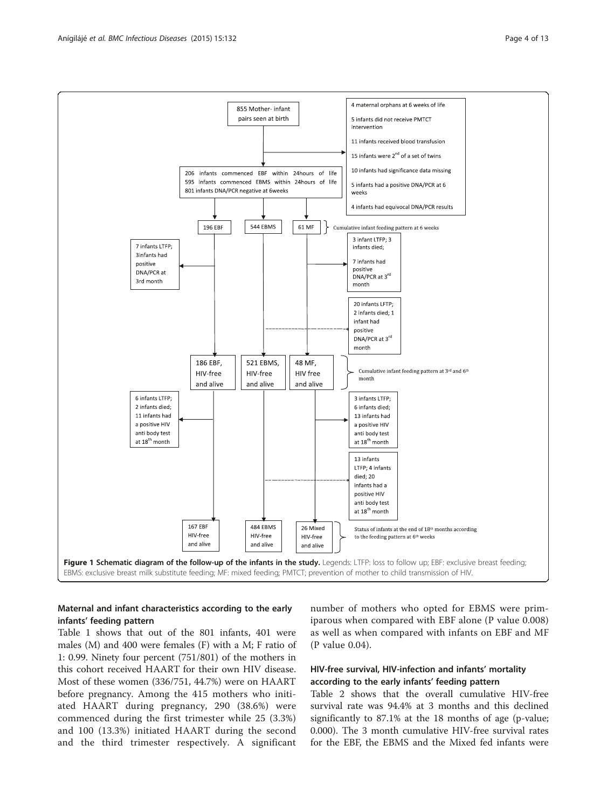<span id="page-3-0"></span>

## Maternal and infant characteristics according to the early infants' feeding pattern

Table [1](#page-4-0) shows that out of the 801 infants, 401 were males (M) and 400 were females (F) with a M; F ratio of 1: 0.99. Ninety four percent (751/801) of the mothers in this cohort received HAART for their own HIV disease. Most of these women (336/751, 44.7%) were on HAART before pregnancy. Among the 415 mothers who initiated HAART during pregnancy, 290 (38.6%) were commenced during the first trimester while 25 (3.3%) and 100 (13.3%) initiated HAART during the second and the third trimester respectively. A significant

number of mothers who opted for EBMS were primiparous when compared with EBF alone (P value 0.008) as well as when compared with infants on EBF and MF (P value 0.04).

## HIV-free survival, HIV-infection and infants' mortality according to the early infants' feeding pattern

Table [2](#page-6-0) shows that the overall cumulative HIV-free survival rate was 94.4% at 3 months and this declined significantly to 87.1% at the 18 months of age (p-value; 0.000). The 3 month cumulative HIV-free survival rates for the EBF, the EBMS and the Mixed fed infants were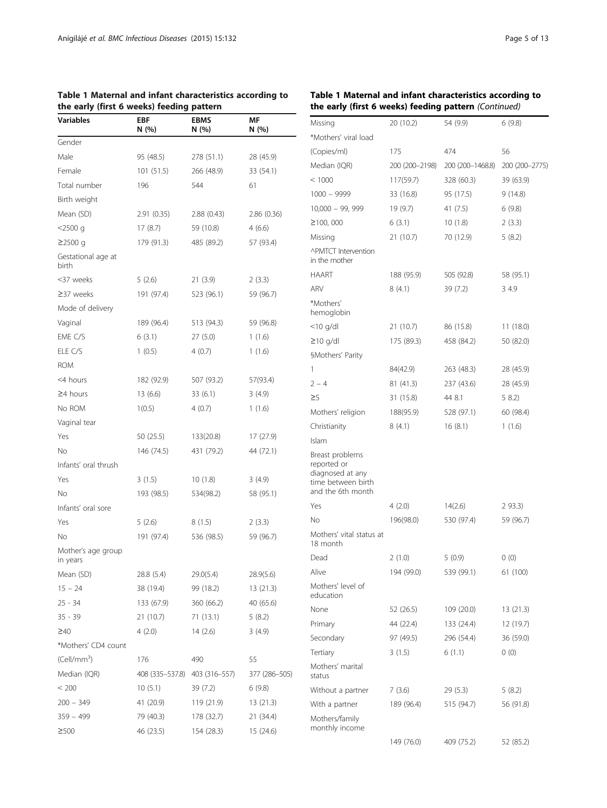| the early (first 6 weeks) feeding pattern |                 |                      |               |
|-------------------------------------------|-----------------|----------------------|---------------|
| <b>Variables</b>                          | EBF<br>N (%)    | <b>EBMS</b><br>N (%) | ΜF<br>N (%)   |
| Gender                                    |                 |                      |               |
| Male                                      | 95 (48.5)       | 278 (51.1)           | 28 (45.9)     |
| Female                                    | 101(51.5)       | 266 (48.9)           | 33 (54.1)     |
| Total number                              | 196             | 544                  | 61            |
| Birth weight                              |                 |                      |               |
| Mean (SD)                                 | 2.91 (0.35)     | 2.88 (0.43)          | 2.86 (0.36)   |
| $<$ 2500 g                                | 17(8.7)         | 59 (10.8)            | 4(6.6)        |
| $≥2500$ g                                 | 179 (91.3)      | 485 (89.2)           | 57 (93.4)     |
| Gestational age at<br>birth               |                 |                      |               |
| <37 weeks                                 | 5(2.6)          | 21 (3.9)             | 2(3.3)        |
| ≥37 weeks                                 | 191 (97.4)      | 523 (96.1)           | 59 (96.7)     |
| Mode of delivery                          |                 |                      |               |
| Vaginal                                   | 189 (96.4)      | 513 (94.3)           | 59 (96.8)     |
| EME C/S                                   | 6(3.1)          | 27(5.0)              | 1(1.6)        |
| ELE C/S                                   | 1(0.5)          | 4(0.7)               | 1(1.6)        |
| <b>ROM</b>                                |                 |                      |               |
| <4 hours                                  | 182 (92.9)      | 507 (93.2)           | 57(93.4)      |
| $\geq$ 4 hours                            | 13(6.6)         | 33 (6.1)             | 3(4.9)        |
| No ROM                                    | 1(0.5)          | 4(0.7)               | 1(1.6)        |
| Vaginal tear                              |                 |                      |               |
| Yes                                       | 50 (25.5)       | 133(20.8)            | 17 (27.9)     |
| No                                        | 146 (74.5)      | 431 (79.2)           | 44 (72.1)     |
| Infants' oral thrush                      |                 |                      |               |
| Yes                                       | 3(1.5)          | 10(1.8)              | 3(4.9)        |
| No                                        | 193 (98.5)      | 534(98.2)            | 58 (95.1)     |
| Infants' oral sore                        |                 |                      |               |
| Yes                                       | 5(2.6)          | 8(1.5)               | 2(3.3)        |
| No                                        | 191 (97.4)      | 536 (98.5)           | 59 (96.7)     |
| Mother's age group<br>in years            |                 |                      |               |
| Mean (SD)                                 | 28.8 (5.4)      | 29.0(5.4)            | 28.9(5.6)     |
| $15 - 24$                                 | 38 (19.4)       | 99 (18.2)            | 13(21.3)      |
| 25 - 34                                   | 133 (67.9)      | 360 (66.2)           | 40 (65.6)     |
| $35 - 39$                                 | 21(10.7)        | 71 (13.1)            | 5(8.2)        |
| $\geq 40$                                 | 4 (2.0)         | 14 (2.6)             | 3(4.9)        |
| *Mothers' CD4 count                       |                 |                      |               |
| $(Cell/mm^3)$                             | 176             | 490                  | 55            |
| Median (IQR)                              | 408 (335–537.8) | 403 (316–557)        | 377 (286–505) |
| < 200                                     | 10(5.1)         | 39 (7.2)             | 6(9.8)        |
| $200 - 349$                               | 41 (20.9)       | 119 (21.9)           | 13 (21.3)     |
| $359 - 499$                               | 79 (40.3)       | 178 (32.7)           | 21 (34.4)     |
| $\geq$ 500                                | 46 (23.5)       | 154 (28.3)           | 15 (24.6)     |

#### <span id="page-4-0"></span>Table 1 Maternal and infant characteristics according to the early (first 6 weeks) feeding pattern

## Table 1 Maternal and infant characteristics according to the early (first 6 weeks) feeding pattern (Continued)

| Missing                                                                                       | 20 (10.2)      | 54 (9.9)         | 6(9.8)         |
|-----------------------------------------------------------------------------------------------|----------------|------------------|----------------|
| *Mothers' viral load                                                                          |                |                  |                |
| (Copies/ml)                                                                                   | 175            | 474              | 56             |
| Median (IQR)                                                                                  | 200 (200-2198) | 200 (200-1468.8) | 200 (200-2775) |
| < 1000                                                                                        | 117(59.7)      | 328 (60.3)       | 39 (63.9)      |
| $1000 - 9999$                                                                                 | 33 (16.8)      | 95 (17.5)        | 9 (14.8)       |
| $10,000 - 99,999$                                                                             | 19 (9.7)       | 41 (7.5)         | 6(9.8)         |
| ≥100,000                                                                                      | 6(3.1)         | 10(1.8)          | 2(3.3)         |
| Missing                                                                                       | 21 (10.7)      | 70 (12.9)        | 5(8.2)         |
| <b>^PMTCT</b> Intervention<br>in the mother                                                   |                |                  |                |
| HAART                                                                                         | 188 (95.9)     | 505 (92.8)       | 58 (95.1)      |
| ARV                                                                                           | 8(4.1)         | 39 (7.2)         | 34.9           |
| *Mothers'<br>hemoglobin                                                                       |                |                  |                |
| <10 g/dl                                                                                      | 21 (10.7)      | 86 (15.8)        | 11 (18.0)      |
| ≥10 g/dl                                                                                      | 175 (89.3)     | 458 (84.2)       | 50 (82.0)      |
| §Mothers' Parity                                                                              |                |                  |                |
| 1                                                                                             | 84(42.9)       | 263 (48.3)       | 28 (45.9)      |
| 2 – 4                                                                                         | 81 (41.3)      | 237 (43.6)       | 28 (45.9)      |
| $\geq 5$                                                                                      | 31 (15.8)      | 44 8.1           | 58.2           |
| Mothers' religion                                                                             | 188(95.9)      | 528 (97.1)       | 60 (98.4)      |
| Christianity                                                                                  | 8 (4.1)        | 16(8.1)          | 1(1.6)         |
| Islam                                                                                         |                |                  |                |
| Breast problems<br>reported or<br>diagnosed at any<br>time between birth<br>and the 6th month |                |                  |                |
| Yes                                                                                           | 4(2.0)         | 14(2.6)          | 293.3)         |
| Νo                                                                                            | 196(98.0)      | 530 (97.4)       | 59 (96.7)      |
| Mothers' vital status at<br>18 month                                                          |                |                  |                |
| Dead                                                                                          | 2(1.0)         | 5(0.9)           | 0(0)           |
| Alive                                                                                         | 194 (99.0)     | 539 (99.1)       | 61 (100)       |
| Mothers' level of<br>education                                                                |                |                  |                |
| None                                                                                          | 52 (26.5)      | 109 (20.0)       | 13(21.3)       |
| Primary                                                                                       | 44 (22.4)      | 133 (24.4)       | 12 (19.7)      |
| Secondary                                                                                     | 97 (49.5)      | 296 (54.4)       | 36 (59.0)      |
| Tertiary                                                                                      | 3(1.5)         | 6(1.1)           | 0(0)           |
| Mothers' marital<br>status                                                                    |                |                  |                |
| Without a partner                                                                             | 7(3.6)         | 29(5.3)          | 5(8.2)         |
| With a partner                                                                                | 189 (96.4)     | 515 (94.7)       | 56 (91.8)      |
| Mothers/family<br>monthly income                                                              |                |                  |                |
|                                                                                               | 149 (76.0)     | 409 (75.2)       | 52 (85.2)      |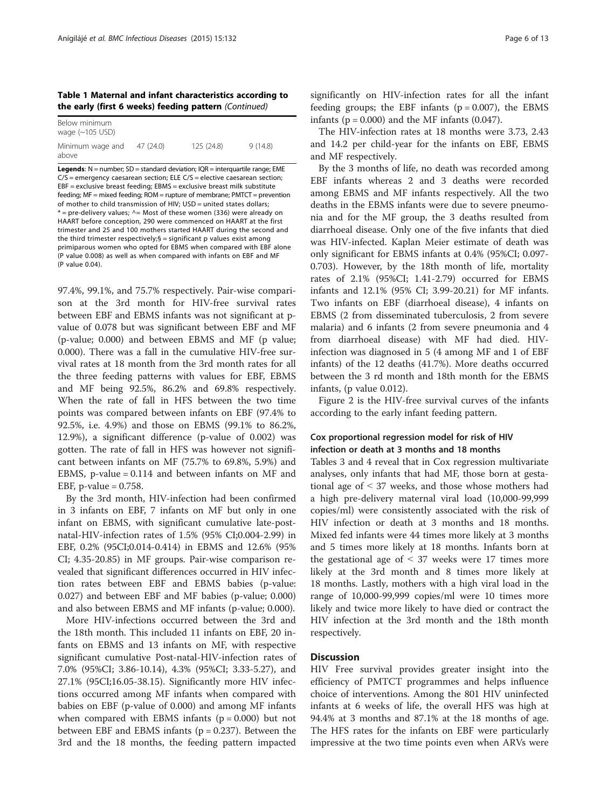Table 1 Maternal and infant characteristics according to the early (first 6 weeks) feeding pattern (Continued)

| Below minimum<br>wage $(\sim 105$ USD) |           |            |         |
|----------------------------------------|-----------|------------|---------|
| Minimum wage and<br>above              | 47 (24.0) | 125 (24.8) | 9(14.8) |

**Legends:**  $N =$  number;  $SD =$  standard deviation;  $IQR =$  interquartile range; EME  $C/S$  = emergency caesarean section; ELE  $C/S$  = elective caesarean section;  $EBF =$  exclusive breast feeding:  $FBMS =$  exclusive breast milk substitute feeding; MF = mixed feeding; ROM = rupture of membrane; PMTCT = prevention of mother to child transmission of HIV; USD = united states dollars;  $* =$  pre-delivery values;  $\wedge =$  Most of these women (336) were already on HAART before conception, 290 were commenced on HAART at the first trimester and 25 and 100 mothers started HAART during the second and the third trimester respectively;§ = significant p values exist among primiparous women who opted for EBMS when compared with EBF alone (P value 0.008) as well as when compared with infants on EBF and MF (P value 0.04).

97.4%, 99.1%, and 75.7% respectively. Pair-wise comparison at the 3rd month for HIV-free survival rates between EBF and EBMS infants was not significant at pvalue of 0.078 but was significant between EBF and MF (p-value; 0.000) and between EBMS and MF (p value; 0.000). There was a fall in the cumulative HIV-free survival rates at 18 month from the 3rd month rates for all the three feeding patterns with values for EBF, EBMS and MF being 92.5%, 86.2% and 69.8% respectively. When the rate of fall in HFS between the two time points was compared between infants on EBF (97.4% to 92.5%, i.e. 4.9%) and those on EBMS (99.1% to 86.2%, 12.9%), a significant difference (p-value of 0.002) was gotten. The rate of fall in HFS was however not significant between infants on MF (75.7% to 69.8%, 5.9%) and EBMS, p-value = 0.114 and between infants on MF and EBF, p-value  $= 0.758$ .

By the 3rd month, HIV-infection had been confirmed in 3 infants on EBF, 7 infants on MF but only in one infant on EBMS, with significant cumulative late-postnatal-HIV-infection rates of 1.5% (95% CI;0.004-2.99) in EBF, 0.2% (95CI;0.014-0.414) in EBMS and 12.6% (95% CI; 4.35-20.85) in MF groups. Pair-wise comparison revealed that significant differences occurred in HIV infection rates between EBF and EBMS babies (p-value: 0.027) and between EBF and MF babies (p-value; 0.000) and also between EBMS and MF infants (p-value; 0.000).

More HIV-infections occurred between the 3rd and the 18th month. This included 11 infants on EBF, 20 infants on EBMS and 13 infants on MF, with respective significant cumulative Post-natal-HIV-infection rates of 7.0% (95%CI; 3.86-10.14), 4.3% (95%CI; 3.33-5.27), and 27.1% (95CI;16.05-38.15). Significantly more HIV infections occurred among MF infants when compared with babies on EBF (p-value of 0.000) and among MF infants when compared with EBMS infants  $(p = 0.000)$  but not between EBF and EBMS infants ( $p = 0.237$ ). Between the 3rd and the 18 months, the feeding pattern impacted

significantly on HIV-infection rates for all the infant feeding groups; the EBF infants  $(p = 0.007)$ , the EBMS infants ( $p = 0.000$ ) and the MF infants (0.047).

The HIV-infection rates at 18 months were 3.73, 2.43 and 14.2 per child-year for the infants on EBF, EBMS and MF respectively.

By the 3 months of life, no death was recorded among EBF infants whereas 2 and 3 deaths were recorded among EBMS and MF infants respectively. All the two deaths in the EBMS infants were due to severe pneumonia and for the MF group, the 3 deaths resulted from diarrhoeal disease. Only one of the five infants that died was HIV-infected. Kaplan Meier estimate of death was only significant for EBMS infants at 0.4% (95%CI; 0.097- 0.703). However, by the 18th month of life, mortality rates of 2.1% (95%CI; 1.41-2.79) occurred for EBMS infants and 12.1% (95% CI; 3.99-20.21) for MF infants. Two infants on EBF (diarrhoeal disease), 4 infants on EBMS (2 from disseminated tuberculosis, 2 from severe malaria) and 6 infants (2 from severe pneumonia and 4 from diarrhoeal disease) with MF had died. HIVinfection was diagnosed in 5 (4 among MF and 1 of EBF infants) of the 12 deaths (41.7%). More deaths occurred between the 3 rd month and 18th month for the EBMS infants, (p value 0.012).

Figure [2](#page-6-0) is the HIV-free survival curves of the infants according to the early infant feeding pattern.

### Cox proportional regression model for risk of HIV infection or death at 3 months and 18 months

Tables [3](#page-7-0) and [4](#page-9-0) reveal that in Cox regression multivariate analyses, only infants that had MF, those born at gestational age of  $\leq$  37 weeks, and those whose mothers had a high pre-delivery maternal viral load (10,000-99,999 copies/ml) were consistently associated with the risk of HIV infection or death at 3 months and 18 months. Mixed fed infants were 44 times more likely at 3 months and 5 times more likely at 18 months. Infants born at the gestational age of  $\leq$  37 weeks were 17 times more likely at the 3rd month and 8 times more likely at 18 months. Lastly, mothers with a high viral load in the range of 10,000-99,999 copies/ml were 10 times more likely and twice more likely to have died or contract the HIV infection at the 3rd month and the 18th month respectively.

#### **Discussion**

HIV Free survival provides greater insight into the efficiency of PMTCT programmes and helps influence choice of interventions. Among the 801 HIV uninfected infants at 6 weeks of life, the overall HFS was high at 94.4% at 3 months and 87.1% at the 18 months of age. The HFS rates for the infants on EBF were particularly impressive at the two time points even when ARVs were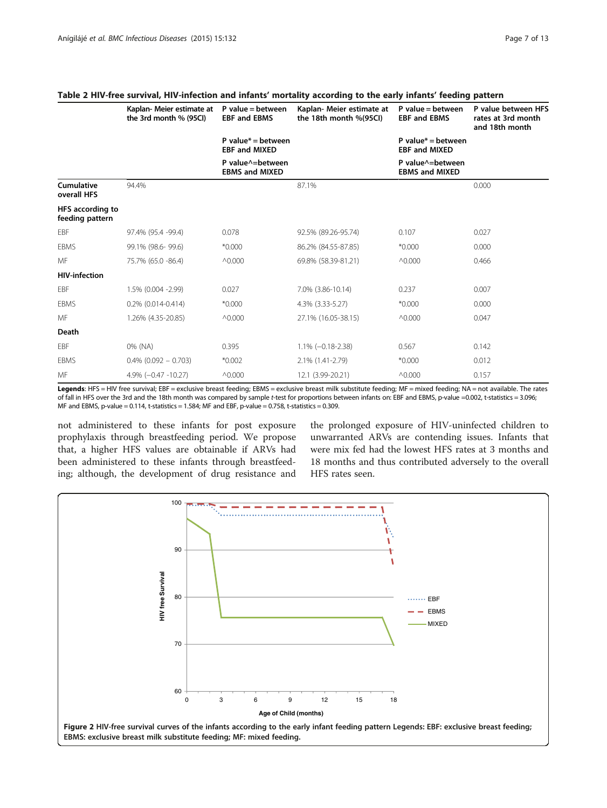|                                            | Kaplan-Meier estimate at<br>the 3rd month % (95CI) | P value = between<br><b>EBF and EBMS</b>      | Kaplan- Meier estimate at<br>the 18th month %(95CI) | $P$ value = between<br><b>EBF and EBMS</b>    | P value between HFS<br>rates at 3rd month<br>and 18th month |
|--------------------------------------------|----------------------------------------------------|-----------------------------------------------|-----------------------------------------------------|-----------------------------------------------|-------------------------------------------------------------|
|                                            |                                                    | P value $*$ = between<br><b>EBF and MIXED</b> |                                                     | P value $*$ = between<br><b>EBF and MIXED</b> |                                                             |
|                                            |                                                    | P value^=between<br><b>EBMS and MIXED</b>     |                                                     | P value^=between<br><b>EBMS and MIXED</b>     |                                                             |
| Cumulative<br>overall HFS                  | 94.4%                                              |                                               | 87.1%                                               |                                               | 0.000                                                       |
| <b>HFS</b> according to<br>feeding pattern |                                                    |                                               |                                                     |                                               |                                                             |
| <b>EBF</b>                                 | 97.4% (95.4 -99.4)                                 | 0.078                                         | 92.5% (89.26-95.74)                                 | 0.107                                         | 0.027                                                       |
| <b>EBMS</b>                                | 99.1% (98.6-99.6)                                  | $*0.000$                                      | 86.2% (84.55-87.85)                                 | $*0.000$                                      | 0.000                                                       |
| MF                                         | 75.7% (65.0 -86.4)                                 | $^{\wedge}0.000$                              | 69.8% (58.39-81.21)                                 | $^{\wedge}0.000$                              | 0.466                                                       |
| <b>HIV-infection</b>                       |                                                    |                                               |                                                     |                                               |                                                             |
| <b>EBF</b>                                 | 1.5% (0.004 -2.99)                                 | 0.027                                         | 7.0% (3.86-10.14)                                   | 0.237                                         | 0.007                                                       |
| <b>EBMS</b>                                | $0.2\%$ (0.014-0.414)                              | $*0.000$                                      | 4.3% (3.33-5.27)                                    | $*0.000$                                      | 0.000                                                       |
| MF                                         | 1.26% (4.35-20.85)                                 | $^{\wedge}0.000$                              | 27.1% (16.05-38.15)                                 | $^{\wedge}0.000$                              | 0.047                                                       |
| Death                                      |                                                    |                                               |                                                     |                                               |                                                             |
| <b>EBF</b>                                 | 0% (NA)                                            | 0.395                                         | $1.1\% (-0.18 - 2.38)$                              | 0.567                                         | 0.142                                                       |
| <b>EBMS</b>                                | $0.4\%$ (0.092 - 0.703)                            | $*0.002$                                      | 2.1% (1.41-2.79)                                    | $*0.000$                                      | 0.012                                                       |
| MF                                         | $4.9\%$ $(-0.47 - 10.27)$                          | $^{\wedge}0.000$                              | 12.1 (3.99-20.21)                                   | $^{\wedge}0.000$                              | 0.157                                                       |

#### <span id="page-6-0"></span>Table 2 HIV-free survival, HIV-infection and infants' mortality according to the early infants' feeding pattern

Legends: HFS = HIV free survival; EBF = exclusive breast feeding; EBMS = exclusive breast milk substitute feeding; MF = mixed feeding; NA = not available. The rates of fall in HFS over the 3rd and the 18th month was compared by sample t-test for proportions between infants on: EBF and EBMS, p-value =0.002, t-statistics = 3.096; MF and EBMS, p-value = 0.114, t-statistics = 1.584; MF and EBF, p-value = 0.758, t-statistics = 0.309.

not administered to these infants for post exposure prophylaxis through breastfeeding period. We propose that, a higher HFS values are obtainable if ARVs had been administered to these infants through breastfeeding; although, the development of drug resistance and

the prolonged exposure of HIV-uninfected children to unwarranted ARVs are contending issues. Infants that were mix fed had the lowest HFS rates at 3 months and 18 months and thus contributed adversely to the overall HFS rates seen.

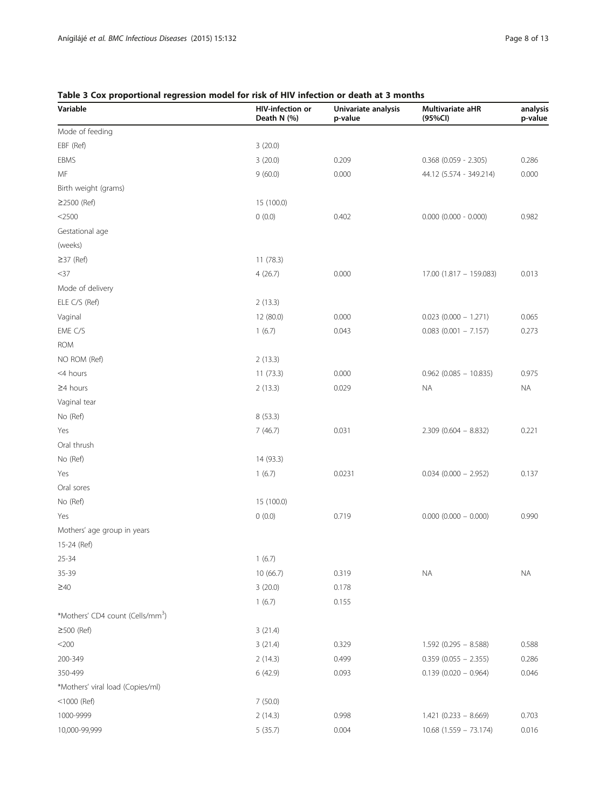# <span id="page-7-0"></span>Table 3 Cox proportional regression model for risk of HIV infection or death at 3 months

| Variable                                     | <b>HIV-infection or</b><br>Death N (%) | Univariate analysis<br>p-value | Multivariate aHR<br>(95%CI) | analysis<br>p-value |
|----------------------------------------------|----------------------------------------|--------------------------------|-----------------------------|---------------------|
| Mode of feeding                              |                                        |                                |                             |                     |
| EBF (Ref)                                    | 3(20.0)                                |                                |                             |                     |
| EBMS                                         | 3(20.0)                                | 0.209                          | $0.368$ (0.059 - 2.305)     | 0.286               |
| MF                                           | 9(60.0)                                | 0.000                          | 44.12 (5.574 - 349.214)     | 0.000               |
| Birth weight (grams)                         |                                        |                                |                             |                     |
| ≥2500 (Ref)                                  | 15 (100.0)                             |                                |                             |                     |
| $<$ 2500                                     | 0(0.0)                                 | 0.402                          | $0.000$ $(0.000 - 0.000)$   | 0.982               |
| Gestational age                              |                                        |                                |                             |                     |
| (weeks)                                      |                                        |                                |                             |                     |
| $\geq$ 37 (Ref)                              | 11(78.3)                               |                                |                             |                     |
| $37$                                         | 4(26.7)                                | 0.000                          | $17.00(1.817 - 159.083)$    | 0.013               |
| Mode of delivery                             |                                        |                                |                             |                     |
| ELE C/S (Ref)                                | 2(13.3)                                |                                |                             |                     |
| Vaginal                                      | 12 (80.0)                              | 0.000                          | $0.023$ (0.000 - 1.271)     | 0.065               |
| EME C/S                                      | 1(6.7)                                 | 0.043                          | $0.083$ (0.001 - 7.157)     | 0.273               |
| <b>ROM</b>                                   |                                        |                                |                             |                     |
| NO ROM (Ref)                                 | 2(13.3)                                |                                |                             |                     |
| <4 hours                                     | 11(73.3)                               | 0.000                          | $0.962$ (0.085 - 10.835)    | 0.975               |
| $\geq$ 4 hours                               | 2(13.3)                                | 0.029                          | <b>NA</b>                   | <b>NA</b>           |
| Vaginal tear                                 |                                        |                                |                             |                     |
| No (Ref)                                     | 8(53.3)                                |                                |                             |                     |
| Yes                                          | 7(46.7)                                | 0.031                          | $2.309$ (0.604 - 8.832)     | 0.221               |
| Oral thrush                                  |                                        |                                |                             |                     |
| No (Ref)                                     | 14 (93.3)                              |                                |                             |                     |
| Yes                                          | 1(6.7)                                 | 0.0231                         | $0.034$ (0.000 - 2.952)     | 0.137               |
| Oral sores                                   |                                        |                                |                             |                     |
| No (Ref)                                     | 15 (100.0)                             |                                |                             |                     |
| Yes                                          | 0(0.0)                                 | 0.719                          | $0.000$ (0.000 - 0.000)     | 0.990               |
| Mothers' age group in years                  |                                        |                                |                             |                     |
| 15-24 (Ref)                                  |                                        |                                |                             |                     |
| 25-34                                        | 1(6.7)                                 |                                |                             |                     |
| 35-39                                        | 10(66.7)                               | 0.319                          | <b>NA</b>                   | <b>NA</b>           |
| $\geq 40$                                    | 3(20.0)                                | 0.178                          |                             |                     |
|                                              | 1(6.7)                                 | 0.155                          |                             |                     |
| *Mothers' CD4 count (Cells/mm <sup>3</sup> ) |                                        |                                |                             |                     |
| $\geq$ 500 (Ref)                             | 3(21.4)                                |                                |                             |                     |
| $<$ 200                                      | 3(21.4)                                | 0.329                          | $1.592(0.295 - 8.588)$      | 0.588               |
| 200-349                                      | 2(14.3)                                | 0.499                          | $0.359$ (0.055 - 2.355)     | 0.286               |
| 350-499                                      | 6 (42.9)                               | 0.093                          | $0.139(0.020 - 0.964)$      | 0.046               |
| *Mothers' viral load (Copies/ml)             |                                        |                                |                             |                     |
| $<$ 1000 (Ref)                               | 7(50.0)                                |                                |                             |                     |
| 1000-9999                                    | 2(14.3)                                | 0.998                          | $1.421(0.233 - 8.669)$      | 0.703               |
| 10,000-99,999                                | 5(35.7)                                | 0.004                          | $10.68$ (1.559 - 73.174)    | 0.016               |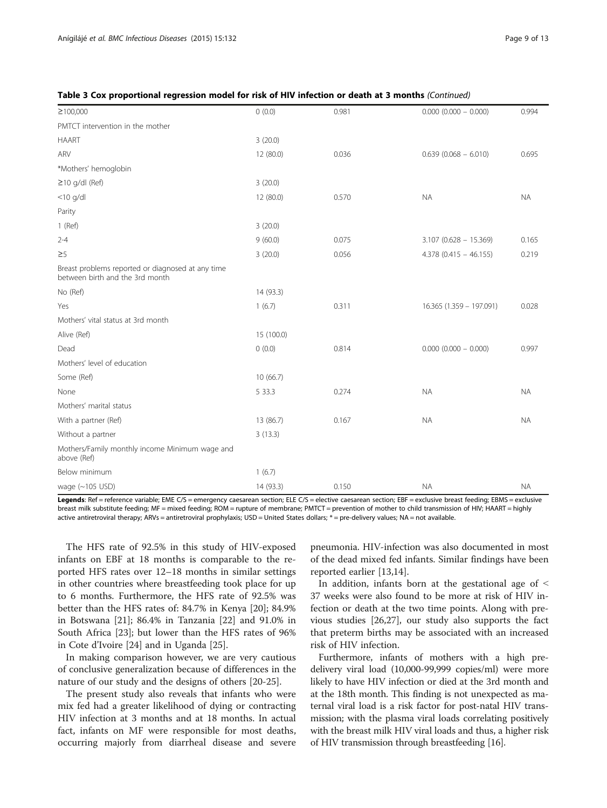| $\geq$ 100,000                                                                       | 0(0.0)     | 0.981 | $0.000$ (0.000 $-$ 0.000)  | 0.994     |
|--------------------------------------------------------------------------------------|------------|-------|----------------------------|-----------|
| PMTCT intervention in the mother                                                     |            |       |                            |           |
| <b>HAART</b>                                                                         | 3(20.0)    |       |                            |           |
| ARV                                                                                  | 12 (80.0)  | 0.036 | $0.639(0.068 - 6.010)$     | 0.695     |
| *Mothers' hemoglobin                                                                 |            |       |                            |           |
| $\geq$ 10 g/dl (Ref)                                                                 | 3(20.0)    |       |                            |           |
| $<$ 10 g/dl                                                                          | 12 (80.0)  | 0.570 | <b>NA</b>                  | <b>NA</b> |
| Parity                                                                               |            |       |                            |           |
| $1$ (Ref)                                                                            | 3(20.0)    |       |                            |           |
| $2 - 4$                                                                              | 9(60.0)    | 0.075 | $3.107(0.628 - 15.369)$    | 0.165     |
| $\geq$ 5                                                                             | 3(20.0)    | 0.056 | $4.378(0.415 - 46.155)$    | 0.219     |
| Breast problems reported or diagnosed at any time<br>between birth and the 3rd month |            |       |                            |           |
| No (Ref)                                                                             | 14 (93.3)  |       |                            |           |
| Yes                                                                                  | 1(6.7)     | 0.311 | $16.365$ (1.359 - 197.091) | 0.028     |
| Mothers' vital status at 3rd month                                                   |            |       |                            |           |
| Alive (Ref)                                                                          | 15 (100.0) |       |                            |           |
| Dead                                                                                 | 0(0.0)     | 0.814 | $0.000$ $(0.000 - 0.000)$  | 0.997     |
| Mothers' level of education                                                          |            |       |                            |           |
| Some (Ref)                                                                           | 10(66.7)   |       |                            |           |
| None                                                                                 | 5 3 3 . 3  | 0.274 | <b>NA</b>                  | <b>NA</b> |
| Mothers' marital status                                                              |            |       |                            |           |
| With a partner (Ref)                                                                 | 13 (86.7)  | 0.167 | <b>NA</b>                  | <b>NA</b> |
| Without a partner                                                                    | 3(13.3)    |       |                            |           |
| Mothers/Family monthly income Minimum wage and<br>above (Ref)                        |            |       |                            |           |
| Below minimum                                                                        | 1(6.7)     |       |                            |           |
| wage (~105 USD)                                                                      | 14 (93.3)  | 0.150 | <b>NA</b>                  | <b>NA</b> |

#### Table 3 Cox proportional regression model for risk of HIV infection or death at 3 months (Continued)

Legends: Ref = reference variable; EME C/S = emergency caesarean section; ELE C/S = elective caesarean section; EBF = exclusive breast feeding; EBMS = exclusive breast milk substitute feeding; MF = mixed feeding; ROM = rupture of membrane; PMTCT = prevention of mother to child transmission of HIV; HAART = highly active antiretroviral therapy; ARVs = antiretroviral prophylaxis; USD = United States dollars; \* = pre-delivery values; NA = not available.

The HFS rate of 92.5% in this study of HIV-exposed infants on EBF at 18 months is comparable to the reported HFS rates over 12–18 months in similar settings in other countries where breastfeeding took place for up to 6 months. Furthermore, the HFS rate of 92.5% was better than the HFS rates of: 84.7% in Kenya [\[20](#page-12-0)]; 84.9% in Botswana [\[21\]](#page-12-0); 86.4% in Tanzania [\[22](#page-12-0)] and 91.0% in South Africa [\[23\]](#page-12-0); but lower than the HFS rates of 96% in Cote d'Ivoire [[24](#page-12-0)] and in Uganda [[25\]](#page-12-0).

In making comparison however, we are very cautious of conclusive generalization because of differences in the nature of our study and the designs of others [[20-25](#page-12-0)].

The present study also reveals that infants who were mix fed had a greater likelihood of dying or contracting HIV infection at 3 months and at 18 months. In actual fact, infants on MF were responsible for most deaths, occurring majorly from diarrheal disease and severe

pneumonia. HIV-infection was also documented in most of the dead mixed fed infants. Similar findings have been reported earlier [\[13,14](#page-11-0)].

In addition, infants born at the gestational age of ˂ 37 weeks were also found to be more at risk of HIV infection or death at the two time points. Along with previous studies [\[26,27\]](#page-12-0), our study also supports the fact that preterm births may be associated with an increased risk of HIV infection.

Furthermore, infants of mothers with a high predelivery viral load (10,000-99,999 copies/ml) were more likely to have HIV infection or died at the 3rd month and at the 18th month. This finding is not unexpected as maternal viral load is a risk factor for post-natal HIV transmission; with the plasma viral loads correlating positively with the breast milk HIV viral loads and thus, a higher risk of HIV transmission through breastfeeding [[16](#page-12-0)].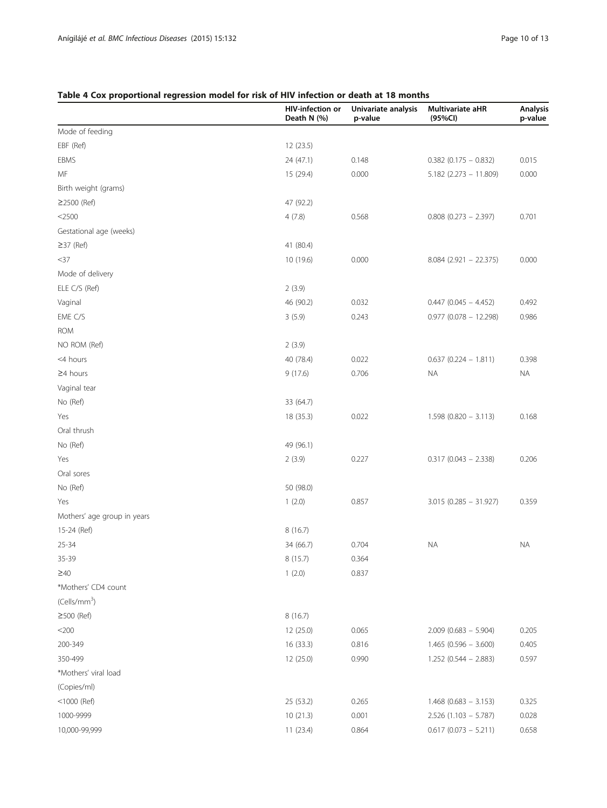# <span id="page-9-0"></span>Table 4 Cox proportional regression model for risk of HIV infection or death at 18 months

|                             | <b>HIV-infection or</b><br>Death N (%) | Univariate analysis<br>p-value | Multivariate aHR<br>(95%CI) | Analysis<br>p-value |
|-----------------------------|----------------------------------------|--------------------------------|-----------------------------|---------------------|
| Mode of feeding             |                                        |                                |                             |                     |
| EBF (Ref)                   | 12 (23.5)                              |                                |                             |                     |
| EBMS                        | 24 (47.1)                              | 0.148                          | $0.382$ (0.175 - 0.832)     | 0.015               |
| MF                          | 15 (29.4)                              | 0.000                          | $5.182(2.273 - 11.809)$     | 0.000               |
| Birth weight (grams)        |                                        |                                |                             |                     |
| ≥2500 (Ref)                 | 47 (92.2)                              |                                |                             |                     |
| $<$ 2500                    | 4(7.8)                                 | 0.568                          | $0.808$ (0.273 - 2.397)     | 0.701               |
| Gestational age (weeks)     |                                        |                                |                             |                     |
| $\geq$ 37 (Ref)             | 41 (80.4)                              |                                |                             |                     |
| $<$ 37                      | 10 (19.6)                              | 0.000                          | $8.084$ (2.921 - 22.375)    | 0.000               |
| Mode of delivery            |                                        |                                |                             |                     |
| ELE C/S (Ref)               | 2(3.9)                                 |                                |                             |                     |
| Vaginal                     | 46 (90.2)                              | 0.032                          | $0.447$ (0.045 - 4.452)     | 0.492               |
| EME C/S                     | 3(5.9)                                 | 0.243                          | $0.977$ (0.078 - 12.298)    | 0.986               |
| <b>ROM</b>                  |                                        |                                |                             |                     |
| NO ROM (Ref)                | 2(3.9)                                 |                                |                             |                     |
| <4 hours                    | 40 (78.4)                              | 0.022                          | $0.637(0.224 - 1.811)$      | 0.398               |
| $\geq$ 4 hours              | 9(17.6)                                | 0.706                          | ΝA                          | <b>NA</b>           |
| Vaginal tear                |                                        |                                |                             |                     |
| No (Ref)                    | 33 (64.7)                              |                                |                             |                     |
| Yes                         | 18 (35.3)                              | 0.022                          | $1.598(0.820 - 3.113)$      | 0.168               |
| Oral thrush                 |                                        |                                |                             |                     |
| No (Ref)                    | 49 (96.1)                              |                                |                             |                     |
| Yes                         | 2(3.9)                                 | 0.227                          | $0.317$ (0.043 - 2.338)     | 0.206               |
| Oral sores                  |                                        |                                |                             |                     |
| No (Ref)                    | 50 (98.0)                              |                                |                             |                     |
| Yes                         | 1(2.0)                                 | 0.857                          | $3.015$ (0.285 - 31.927)    | 0.359               |
| Mothers' age group in years |                                        |                                |                             |                     |
| 15-24 (Ref)                 | 8(16.7)                                |                                |                             |                     |
| $25 - 34$                   | 34 (66.7)                              | 0.704                          | ΝA                          | ΝA                  |
| 35-39                       | 8(15.7)                                | 0.364                          |                             |                     |
| $\geq 40$                   | 1(2.0)                                 | 0.837                          |                             |                     |
| *Mothers' CD4 count         |                                        |                                |                             |                     |
| (Cells/mm <sup>3</sup> )    |                                        |                                |                             |                     |
| $\geq$ 500 (Ref)            | 8(16.7)                                |                                |                             |                     |
| $<$ 200                     | 12 (25.0)                              | 0.065                          | $2.009$ (0.683 - 5.904)     | 0.205               |
| 200-349                     | 16(33.3)                               | 0.816                          | $1.465(0.596 - 3.600)$      | 0.405               |
| 350-499                     | 12 (25.0)                              | 0.990                          | $1.252(0.544 - 2.883)$      | 0.597               |
| *Mothers' viral load        |                                        |                                |                             |                     |
| (Copies/ml)                 |                                        |                                |                             |                     |
| $<$ 1000 (Ref)              | 25 (53.2)                              | 0.265                          | $1.468(0.683 - 3.153)$      | 0.325               |
| 1000-9999                   | 10(21.3)                               | 0.001                          | $2.526(1.103 - 5.787)$      | 0.028               |
| 10,000-99,999               | 11 (23.4)                              | 0.864                          | $0.617(0.073 - 5.211)$      | 0.658               |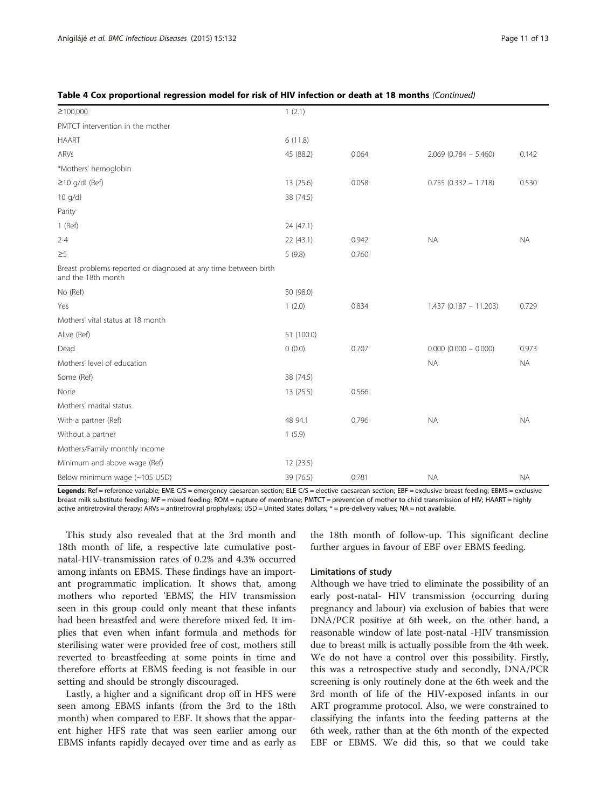| $\geq$ 100,000                                                                        | 1(2.1)     |       |                           |           |
|---------------------------------------------------------------------------------------|------------|-------|---------------------------|-----------|
| PMTCT intervention in the mother                                                      |            |       |                           |           |
| <b>HAART</b>                                                                          | 6(11.8)    |       |                           |           |
| ARVs                                                                                  | 45 (88.2)  | 0.064 | $2.069$ (0.784 - 5.460)   | 0.142     |
| *Mothers' hemoglobin                                                                  |            |       |                           |           |
| $\geq$ 10 g/dl (Ref)                                                                  | 13 (25.6)  | 0.058 | $0.755(0.332 - 1.718)$    | 0.530     |
| 10 g/dl                                                                               | 38 (74.5)  |       |                           |           |
| Parity                                                                                |            |       |                           |           |
| $1$ (Ref)                                                                             | 24 (47.1)  |       |                           |           |
| $2 - 4$                                                                               | 22 (43.1)  | 0.942 | <b>NA</b>                 | <b>NA</b> |
| $\geq$ 5                                                                              | 5(9.8)     | 0.760 |                           |           |
| Breast problems reported or diagnosed at any time between birth<br>and the 18th month |            |       |                           |           |
| No (Ref)                                                                              | 50 (98.0)  |       |                           |           |
| Yes                                                                                   | 1(2.0)     | 0.834 | $1.437(0.187 - 11.203)$   | 0.729     |
| Mothers' vital status at 18 month                                                     |            |       |                           |           |
| Alive (Ref)                                                                           | 51 (100.0) |       |                           |           |
| Dead                                                                                  | 0(0.0)     | 0.707 | $0.000$ $(0.000 - 0.000)$ | 0.973     |
| Mothers' level of education                                                           |            |       | <b>NA</b>                 | <b>NA</b> |
| Some (Ref)                                                                            | 38 (74.5)  |       |                           |           |
| None                                                                                  | 13 (25.5)  | 0.566 |                           |           |
| Mothers' marital status                                                               |            |       |                           |           |
| With a partner (Ref)                                                                  | 48 94.1    | 0.796 | <b>NA</b>                 | <b>NA</b> |
| Without a partner                                                                     | 1(5.9)     |       |                           |           |
| Mothers/Family monthly income                                                         |            |       |                           |           |
| Minimum and above wage (Ref)                                                          | 12(23.5)   |       |                           |           |
| Below minimum wage (~105 USD)                                                         | 39 (76.5)  | 0.781 | <b>NA</b>                 | <b>NA</b> |

#### Table 4 Cox proportional regression model for risk of HIV infection or death at 18 months (Continued)

Legends: Ref = reference variable; EME C/S = emergency caesarean section; ELE C/S = elective caesarean section; EBF = exclusive breast feeding; EBMS = exclusive breast milk substitute feeding; MF = mixed feeding; ROM = rupture of membrane; PMTCT = prevention of mother to child transmission of HIV; HAART = highly active antiretroviral therapy; ARVs = antiretroviral prophylaxis; USD = United States dollars; \* = pre-delivery values; NA = not available.

This study also revealed that at the 3rd month and 18th month of life, a respective late cumulative postnatal-HIV-transmission rates of 0.2% and 4.3% occurred among infants on EBMS. These findings have an important programmatic implication. It shows that, among mothers who reported 'EBMS', the HIV transmission seen in this group could only meant that these infants had been breastfed and were therefore mixed fed. It implies that even when infant formula and methods for sterilising water were provided free of cost, mothers still reverted to breastfeeding at some points in time and therefore efforts at EBMS feeding is not feasible in our setting and should be strongly discouraged.

Lastly, a higher and a significant drop off in HFS were seen among EBMS infants (from the 3rd to the 18th month) when compared to EBF. It shows that the apparent higher HFS rate that was seen earlier among our EBMS infants rapidly decayed over time and as early as

the 18th month of follow-up. This significant decline further argues in favour of EBF over EBMS feeding.

#### Limitations of study

Although we have tried to eliminate the possibility of an early post-natal- HIV transmission (occurring during pregnancy and labour) via exclusion of babies that were DNA/PCR positive at 6th week, on the other hand, a reasonable window of late post-natal -HIV transmission due to breast milk is actually possible from the 4th week. We do not have a control over this possibility. Firstly, this was a retrospective study and secondly, DNA/PCR screening is only routinely done at the 6th week and the 3rd month of life of the HIV-exposed infants in our ART programme protocol. Also, we were constrained to classifying the infants into the feeding patterns at the 6th week, rather than at the 6th month of the expected EBF or EBMS. We did this, so that we could take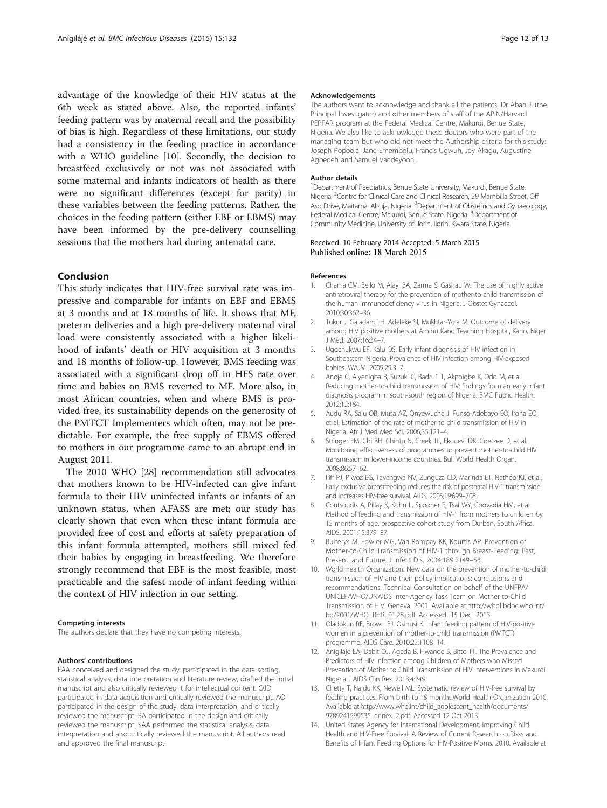<span id="page-11-0"></span>advantage of the knowledge of their HIV status at the 6th week as stated above. Also, the reported infants' feeding pattern was by maternal recall and the possibility of bias is high. Regardless of these limitations, our study had a consistency in the feeding practice in accordance with a WHO guideline [10]. Secondly, the decision to breastfeed exclusively or not was not associated with some maternal and infants indicators of health as there were no significant differences (except for parity) in these variables between the feeding patterns. Rather, the choices in the feeding pattern (either EBF or EBMS) may have been informed by the pre-delivery counselling sessions that the mothers had during antenatal care.

#### Conclusion

This study indicates that HIV-free survival rate was impressive and comparable for infants on EBF and EBMS at 3 months and at 18 months of life. It shows that MF, preterm deliveries and a high pre-delivery maternal viral load were consistently associated with a higher likelihood of infants' death or HIV acquisition at 3 months and 18 months of follow-up. However, BMS feeding was associated with a significant drop off in HFS rate over time and babies on BMS reverted to MF. More also, in most African countries, when and where BMS is provided free, its sustainability depends on the generosity of the PMTCT Implementers which often, may not be predictable. For example, the free supply of EBMS offered to mothers in our programme came to an abrupt end in August 2011.

The 2010 WHO [\[28](#page-12-0)] recommendation still advocates that mothers known to be HIV-infected can give infant formula to their HIV uninfected infants or infants of an unknown status, when AFASS are met; our study has clearly shown that even when these infant formula are provided free of cost and efforts at safety preparation of this infant formula attempted, mothers still mixed fed their babies by engaging in breastfeeding. We therefore strongly recommend that EBF is the most feasible, most practicable and the safest mode of infant feeding within the context of HIV infection in our setting.

#### Competing interests

The authors declare that they have no competing interests.

#### Authors' contributions

EAA conceived and designed the study, participated in the data sorting, statistical analysis, data interpretation and literature review, drafted the initial manuscript and also critically reviewed it for intellectual content. OJD participated in data acquisition and critically reviewed the manuscript. AO participated in the design of the study, data interpretation, and critically reviewed the manuscript. BA participated in the design and critically reviewed the manuscript. SAA performed the statistical analysis, data interpretation and also critically reviewed the manuscript. All authors read and approved the final manuscript.

#### Acknowledgements

The authors want to acknowledge and thank all the patients, Dr Abah J. (the Principal Investigator) and other members of staff of the APIN/Harvard PEPFAR program at the Federal Medical Centre, Makurdi, Benue State, Nigeria. We also like to acknowledge these doctors who were part of the managing team but who did not meet the Authorship criteria for this study: Joseph Popoola, Jane Emembolu, Francis Ugwuh, Joy Akagu, Augustine Agbedeh and Samuel Vandeyoon.

#### Author details

<sup>1</sup> Department of Paediatrics, Benue State University, Makurdi, Benue State, Nigeria. <sup>2</sup> Centre for Clinical Care and Clinical Research, 29 Mambilla Street, Off Aso Drive, Maitama, Abuja, Nigeria. <sup>3</sup>Department of Obstetrics and Gynaecology Federal Medical Centre, Makurdi, Benue State, Nigeria. <sup>4</sup>Department of Community Medicine, University of Ilorin, Ilorin, Kwara State, Nigeria.

#### Received: 10 February 2014 Accepted: 5 March 2015 Published online: 18 March 2015

#### References

- 1. Chama CM, Bello M, Ajayi BA, Zarma S, Gashau W. The use of highly active antiretroviral therapy for the prevention of mother-to-child transmission of the human immunodeficiency virus in Nigeria. J Obstet Gynaecol. 2010;30:362–36.
- 2. Tukur J, Galadanci H, Adeleke SI, Mukhtar-Yola M. Outcome of delivery among HIV positive mothers at Aminu Kano Teaching Hospital, Kano. Niger J Med. 2007;16:34–7.
- 3. Ugochukwu EF, Kalu OS. Early infant diagnosis of HIV infection in Southeastern Nigeria: Prevalence of HIV infection among HIV-exposed babies. WAJM. 2009;29:3–7.
- 4. Anoje C, Aiyenigba B, Suzuki C, Badru1 T, Akpoigbe K, Odo M, et al. Reducing mother-to-child transmission of HIV: findings from an early infant diagnosis program in south-south region of Nigeria. BMC Public Health. 2012;12:184.
- 5. Audu RA, Salu OB, Musa AZ, Onyewuche J, Funso-Adebayo EO, Iroha EO, et al. Estimation of the rate of mother to child transmission of HIV in Nigeria. Afr J Med Med Sci. 2006;35:121–4.
- 6. Stringer EM, Chi BH, Chintu N, Creek TL, Ekouevi DK, Coetzee D, et al. Monitoring effectiveness of programmes to prevent mother-to-child HIV transmission in lower-income countries. Bull World Health Organ. 2008;86:57–62.
- 7. Iliff PJ, Piwoz EG, Tavengwa NV, Zunguza CD, Marinda ET, Nathoo KJ, et al. Early exclusive breastfeeding reduces the risk of postnatal HIV-1 transmission and increases HIV-free survival. AIDS. 2005;19:699–708.
- 8. Coutsoudis A, Pillay K, Kuhn L, Spooner E, Tsai WY, Coovadia HM, et al. Method of feeding and transmission of HIV-1 from mothers to children by 15 months of age: prospective cohort study from Durban, South Africa. AIDS. 2001;15:379–87.
- 9. Bulterys M, Fowler MG, Van Rompay KK, Kourtis AP. Prevention of Mother-to-Child Transmission of HIV-1 through Breast-Feeding: Past, Present, and Future. J Infect Dis. 2004;189:2149–53.
- 10. World Health Organization. New data on the prevention of mother-to-child transmission of HIV and their policy implications: conclusions and recommendations. Technical Consultation on behalf of the UNFPA/ UNICEF/WHO/UNAIDS Inter-Agency Task Team on Mother-to-Child Transmission of HIV. Geneva. 2001. Available at:[http://whqlibdoc.who.int/](http://whqlibdoc.who.int/hq/2001/WHO_RHR_01.28.pdf) [hq/2001/WHO\\_RHR\\_01.28.pdf.](http://whqlibdoc.who.int/hq/2001/WHO_RHR_01.28.pdf) Accessed 15 Dec 2013.
- 11. Oladokun RE, Brown BJ, Osinusi K. Infant feeding pattern of HIV-positive women in a prevention of mother-to-child transmission (PMTCT) programme. AIDS Care. 2010;22:1108–14.
- 12. Anígilájé EA, Dabit OJ, Ageda B, Hwande S, Bitto TT. The Prevalence and Predictors of HIV Infection among Children of Mothers who Missed Prevention of Mother to Child Transmission of HIV Interventions in Makurdi. Nigeria J AIDS Clin Res. 2013;4:249.
- 13. Chetty T, Naidu KK, Newell ML: Systematic review of HIV-free survival by feeding practices. From birth to 18 months.World Health Organization 2010. Available at:[http://www.who.int/child\\_adolescent\\_health/documents/](http://www.who.int/child_adolescent_health/documents/9789241599535_annex_2.pdf) [9789241599535\\_annex\\_2.pdf.](http://www.who.int/child_adolescent_health/documents/9789241599535_annex_2.pdf) Accessed 12 Oct 2013.
- 14. United States Agency for International Development. Improving Child Health and HIV-Free Survival. A Review of Current Research on Risks and Benefits of Infant Feeding Options for HIV-Positive Moms. 2010. Available at